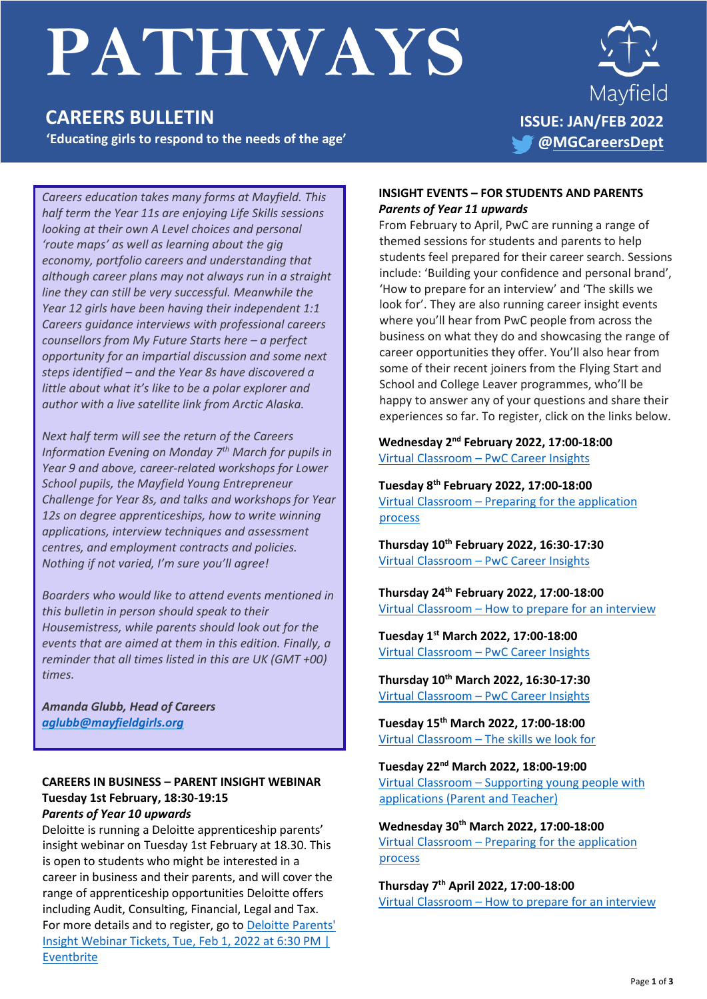# **PATHWAYS**

# **CAREERS BULLETIN**

**'Educating girls to respond to the needs of the age'** 



*Careers education takes many forms at Mayfield. This half term the Year 11s are enjoying Life Skills sessions looking at their own A Level choices and personal 'route maps' as well as learning about the gig economy, portfolio careers and understanding that although career plans may not always run in a straight line they can still be very successful. Meanwhile the Year 12 girls have been having their independent 1:1 Careers guidance interviews with professional careers counsellors from My Future Starts here – a perfect opportunity for an impartial discussion and some next steps identified – and the Year 8s have discovered a little about what it's like to be a polar explorer and author with a live satellite link from Arctic Alaska.* 

*Next half term will see the return of the Careers Information Evening on Monday 7th March for pupils in Year 9 and above, career-related workshops for Lower School pupils, the Mayfield Young Entrepreneur Challenge for Year 8s, and talks and workshops for Year 12s on degree apprenticeships, how to write winning applications, interview techniques and assessment centres, and employment contracts and policies. Nothing if not varied, I'm sure you'll agree!*

*Boarders who would like to attend events mentioned in this bulletin in person should speak to their Housemistress, while parents should look out for the events that are aimed at them in this edition. Finally, a reminder that all times listed in this are UK (GMT +00) times.*

*Amanda Glubb, Head of Careers [aglubb@mayfieldgirls.org](mailto:aglubb@mayfieldgirls.org)*

#### **CAREERS IN BUSINESS – PARENT INSIGHT WEBINAR Tuesday 1st February, 18:30-19:15** *Parents of Year 10 upwards*

Deloitte is running a Deloitte apprenticeship parents' insight webinar on Tuesday 1st February at 18.30. This is open to students who might be interested in a career in business and their parents, and will cover the range of apprenticeship opportunities Deloitte offers including Audit, Consulting, Financial, Legal and Tax. For more details and to register, go to **Deloitte Parents'** [Insight Webinar Tickets, Tue, Feb 1, 2022 at 6:30 PM |](https://www.eventbrite.co.uk/e/deloitte-parents-insight-webinar-tickets-239150564777)  [Eventbrite](https://www.eventbrite.co.uk/e/deloitte-parents-insight-webinar-tickets-239150564777)

#### **INSIGHT EVENTS – FOR STUDENTS AND PARENTS** *Parents of Year 11 upwards*

From February to April, PwC are running a range of themed sessions for students and parents to help students feel prepared for their career search. Sessions include: 'Building your confidence and personal brand', 'How to prepare for an interview' and 'The skills we look for'. They are also running career insight events where you'll hear from PwC people from across the business on what they do and showcasing the range of career opportunities they offer. You'll also hear from some of their recent joiners from the Flying Start and School and College Leaver programmes, who'll be happy to answer any of your questions and share their experiences so far. To register, click on the links below.

**Wednesday 2 nd February 2022, 17:00-18:00** Virtual Classroom – [PwC Career Insights](https://www.careersschools.pwc.co.uk/event/virtual-classroom-pwc-career-insights-2/)

**Tuesday 8 th February 2022, 17:00-18:00** Virtual Classroom – [Preparing for the application](https://www.careersschools.pwc.co.uk/event/virtual-classroom-preparing-for-the-application-process/)  [process](https://www.careersschools.pwc.co.uk/event/virtual-classroom-preparing-for-the-application-process/)

**Thursday 10th February 2022, 16:30-17:30** Virtual Classroom – [PwC Career Insights](https://www.careersschools.pwc.co.uk/event/virtual-classroom-pwc-career-insights-3/)

**Thursday 24th February 2022, 17:00-18:00** Virtual Classroom – [How to prepare for an interview](https://www.careersschools.pwc.co.uk/event/virtual-classroom-how-to-prepare-for-an-interview/)

**Tuesday 1 st March 2022, 17:00-18:00** Virtual Classroom – [PwC Career Insights](https://www.careersschools.pwc.co.uk/event/virtual-classroom-pwc-career-insights-4/)

**Thursday 10 th March 2022, 16:30-17:30** Virtual Classroom – [PwC Career Insights](https://www.careersschools.pwc.co.uk/event/virtual-classroom-pwc-career-insights-5/)

**Tuesday 15th March 2022, 17:00-18:00** Virtual Classroom – [The skills we look for](https://www.careersschools.pwc.co.uk/event/virtual-classroom-the-skills-we-look-for/)

**Tuesday 22nd March 2022, 18:00-19:00**

Virtual Classroom – [Supporting young people with](https://www.careersschools.pwc.co.uk/event/virtual-classroom-supporting-young-people-with-applications-parent-and-teacher/)  applications [\(Parent and Teacher\)](https://www.careersschools.pwc.co.uk/event/virtual-classroom-supporting-young-people-with-applications-parent-and-teacher/)

**Wednesday 30th March 2022, 17:00-18:00** Virtual Classroom – [Preparing for the application](https://www.careersschools.pwc.co.uk/event/virtual-classroom-preparing-for-the-application-process-2/)  [process](https://www.careersschools.pwc.co.uk/event/virtual-classroom-preparing-for-the-application-process-2/)

**Thursday 7 th April 2022, 17:00-18:00** Virtual Classroom – [How to prepare for an interview](https://www.careersschools.pwc.co.uk/event/virtual-classroom-how-to-prepare-for-an-interview-2/)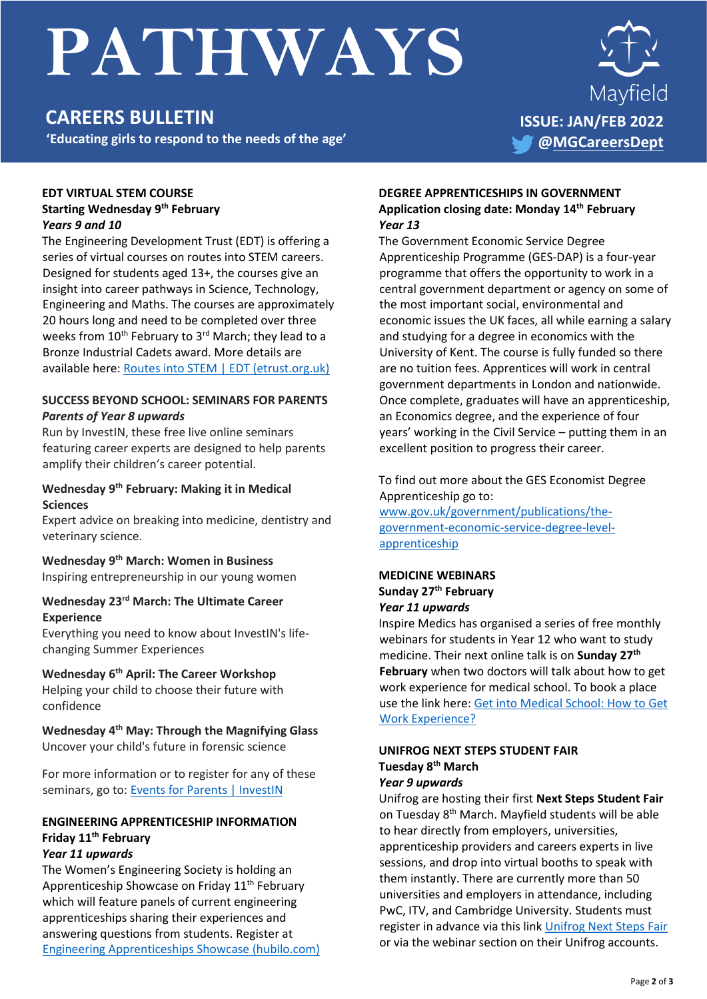# **PATHWAYS**

# **CAREERS BULLETIN**

**'Educating girls to respond to the needs of the age'** 



#### **EDT VIRTUAL STEM COURSE Starting Wednesday 9 th February**  *Years 9 and 10*

The Engineering Development Trust (EDT) is offering a series of virtual courses on routes into STEM careers. Designed for students aged 13+, the courses give an insight into career pathways in Science, Technology, Engineering and Maths. The courses are approximately 20 hours long and need to be completed over three weeks from  $10^{th}$  February to  $3^{rd}$  March; they lead to a Bronze Industrial Cadets award. More details are available here: [Routes into STEM | EDT \(etrust.org.uk\)](https://www.etrust.org.uk/routes-into-stem-read-more)

#### **SUCCESS BEYOND SCHOOL: SEMINARS FOR PARENTS** *Parents of Year 8 upwards*

Run by InvestIN, these free live online seminars featuring career experts are designed to help parents amplify their children's career potential.

#### **Wednesday 9th February: Making it in Medical Sciences**

Expert advice on breaking into medicine, dentistry and veterinary science.

## **Wednesday 9th March: Women in Business**

Inspiring entrepreneurship in our young women

### **Wednesday 23rd March: The Ultimate Career Experience**

Everything you need to know about InvestIN's lifechanging Summer Experiences

## **Wednesday 6th April: The Career Workshop**

Helping your child to choose their future with confidence

#### **Wednesday 4th May: Through the Magnifying Glass** Uncover your child's future in forensic science

For more information or to register for any of these seminars, go to: [Events for Parents | InvestIN](https://investin.org/pages/parent-events?utm_source=UK+SCHOOLS+MASTER&utm_campaign=2ae6e725e1-Resend+Parent+Event+-+Name+Tracking&utm_medium=email&utm_term=0_bfccb03bbd-2ae6e725e1-137477567&mc_cid=2ae6e725e1&mc_eid=f3ee78acce)

## **ENGINEERING APPRENTICESHIP INFORMATION Friday 11th February**

### *Year 11 upwards*

The Women's Engineering Society is holding an Apprenticeship Showcase on Friday 11<sup>th</sup> February which will feature panels of current engineering apprenticeships sharing their experiences and answering questions from students. Register at [Engineering Apprenticeships Showcase \(hubilo.com\)](https://events.hubilo.com/engineering-apprenticeships-showcase/login)

#### **DEGREE APPRENTICESHIPS IN GOVERNMENT Application closing date: Monday 14th February** *Year 13*

The Government Economic Service Degree Apprenticeship Programme (GES-DAP) is a four-year programme that offers the opportunity to work in a central government department or agency on some of the most important social, environmental and economic issues the UK faces, all while earning a salary and studying for a degree in economics with the University of Kent. The course is fully funded so there are no tuition fees. Apprentices will work in central government departments in London and nationwide. Once complete, graduates will have an apprenticeship, an Economics degree, and the experience of four years' working in the Civil Service – putting them in an excellent position to progress their career.

#### To find out more about the GES Economist Degree Apprenticeship go to:

[www.gov.uk/government/publications/the](http://www.gov.uk/government/publications/the-government-economic-service-degree-level-apprenticeship)[government-economic-service-degree-level](http://www.gov.uk/government/publications/the-government-economic-service-degree-level-apprenticeship)[apprenticeship](http://www.gov.uk/government/publications/the-government-economic-service-degree-level-apprenticeship)

#### **MEDICINE WEBINARS Sunday 27th February** *Year 11 upwards*

Inspire Medics has organised a series of free monthly webinars for students in Year 12 who want to study medicine. Their next online talk is on **Sunday 27th February** when two doctors will talk about how to get work experience for medical school. To book a place use the link here: [Get into Medical School: How to Get](https://www.eventbrite.co.uk/e/get-into-medical-school-how-to-get-work-experience-tickets-223274107867?aff=odeimcmailchimp&mc_cid=937a06f20c&mc_eid=UNIQID)  [Work Experience?](https://www.eventbrite.co.uk/e/get-into-medical-school-how-to-get-work-experience-tickets-223274107867?aff=odeimcmailchimp&mc_cid=937a06f20c&mc_eid=UNIQID)

#### **UNIFROG NEXT STEPS STUDENT FAIR Tuesday 8th March** *Year 9 upwards*

Unifrog are hosting their first **Next Steps Student Fair** on Tuesday 8<sup>th</sup> March. Mayfield students will be able to hear directly from employers, universities, apprenticeship providers and careers experts in live sessions, and drop into virtual booths to speak with them instantly. There are currently more than 50 universities and employers in attendance, including PwC, ITV, and Cambridge University. Students must register in advance via this link [Unifrog Next Steps Fair](https://www.unifrog.org/student/webinars/upcoming/415-next-steps-student-fair) or via the webinar section on their Unifrog accounts.